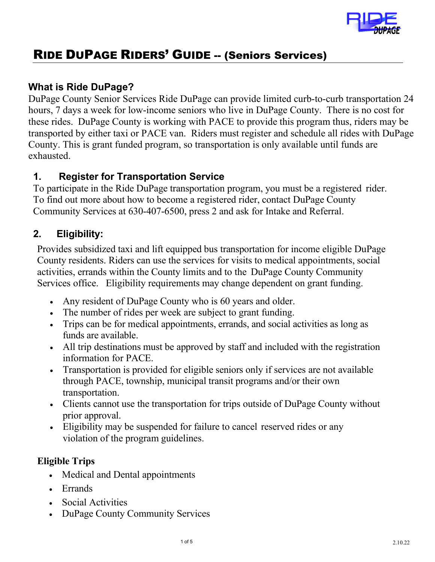

# RIDE DUPAGE RIDERS' GUIDE -- (Seniors Services)

## **What is Ride DuPage?**

DuPage County Senior Services Ride DuPage can provide limited curb-to-curb transportation 24 hours, 7 days a week for low-income seniors who live in DuPage County. There is no cost for these rides. DuPage County is working with PACE to provide this program thus, riders may be transported by either taxi or PACE van. Riders must register and schedule all rides with DuPage County. This is grant funded program, so transportation is only available until funds are exhausted.

#### **1. Register for Transportation Service**

To participate in the Ride DuPage transportation program, you must be a registered rider. To find out more about how to become a registered rider, contact DuPage County Community Services at 630-407-6500, press 2 and ask for Intake and Referral.

# **2. Eligibility:**

Provides subsidized taxi and lift equipped bus transportation for income eligible DuPage County residents. Riders can use the services for visits to medical appointments, social activities, errands within the County limits and to the DuPage County Community Services office. Eligibility requirements may change dependent on grant funding.

- Any resident of DuPage County who is 60 years and older.
- The number of rides per week are subject to grant funding.
- Trips can be for medical appointments, errands, and social activities as long as funds are available.
- All trip destinations must be approved by staff and included with the registration information for PACE.
- Transportation is provided for eligible seniors only if services are not available through PACE, township, municipal transit programs and/or their own transportation.
- Clients cannot use the transportation for trips outside of DuPage County without prior approval.
- Eligibility may be suspended for failure to cancel reserved rides or any violation of the program guidelines.

#### **Eligible Trips**

- Medical and Dental appointments
- Errands
- Social Activities
- DuPage County Community Services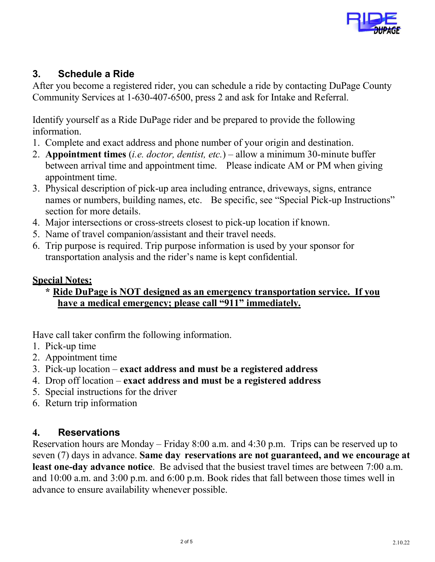

#### **3. Schedule a Ride**

After you become a registered rider, you can schedule a ride by contacting DuPage County Community Services at 1-630-407-6500, press 2 and ask for Intake and Referral.

Identify yourself as a Ride DuPage rider and be prepared to provide the following information.

- 1. Complete and exact address and phone number of your origin and destination.
- 2. **Appointment times** (*i.e. doctor, dentist, etc.*) allow a minimum 30-minute buffer between arrival time and appointment time. Please indicate AM or PM when giving appointment time.
- 3. Physical description of pick-up area including entrance, driveways, signs, entrance names or numbers, building names, etc. Be specific, see "Special Pick-up Instructions" section for more details.
- 4. Major intersections or cross-streets closest to pick-up location if known.
- 5. Name of travel companion/assistant and their travel needs.
- 6. Trip purpose is required. Trip purpose information is used by your sponsor for transportation analysis and the rider's name is kept confidential.

#### **Special Notes:**

#### **\* Ride DuPage is NOT designed as an emergency transportation service. If you have a medical emergency; please call "911" immediately.**

Have call taker confirm the following information.

- 1. Pick-up time
- 2. Appointment time
- 3. Pick-up location **exact address and must be a registered address**
- 4. Drop off location **exact address and must be a registered address**
- 5. Special instructions for the driver
- 6. Return trip information

#### **4. Reservations**

Reservation hours are Monday – Friday 8:00 a.m. and 4:30 p.m. Trips can be reserved up to seven (7) days in advance. **Same day reservations are not guaranteed, and we encourage at least one-day advance notice**. Be advised that the busiest travel times are between 7:00 a.m. and 10:00 a.m. and 3:00 p.m. and 6:00 p.m. Book rides that fall between those times well in advance to ensure availability whenever possible.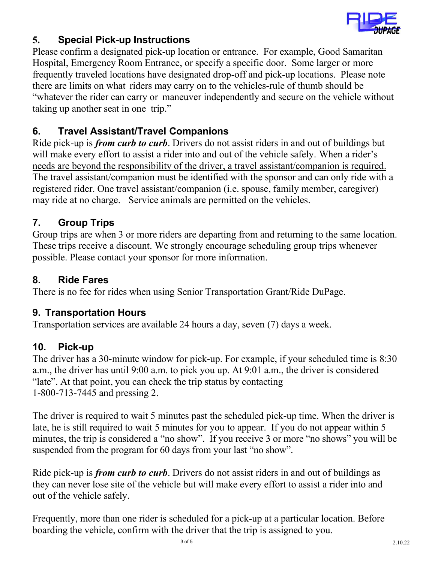

## **5. Special Pick-up Instructions**

Please confirm a designated pick-up location or entrance. For example, Good Samaritan Hospital, Emergency Room Entrance, or specify a specific door. Some larger or more frequently traveled locations have designated drop-off and pick-up locations. Please note there are limits on what riders may carry on to the vehicles-rule of thumb should be "whatever the rider can carry or maneuver independently and secure on the vehicle without taking up another seat in one trip."

## **6. Travel Assistant/Travel Companions**

Ride pick-up is *from curb to curb*. Drivers do not assist riders in and out of buildings but will make every effort to assist a rider into and out of the vehicle safely. When a rider's needs are beyond the responsibility of the driver, a travel assistant/companion is required. The travel assistant/companion must be identified with the sponsor and can only ride with a registered rider. One travel assistant/companion (i.e. spouse, family member, caregiver) may ride at no charge. Service animals are permitted on the vehicles.

#### **7. Group Trips**

Group trips are when 3 or more riders are departing from and returning to the same location. These trips receive a discount. We strongly encourage scheduling group trips whenever possible. Please contact your sponsor for more information.

#### **8. Ride Fares**

There is no fee for rides when using Senior Transportation Grant/Ride DuPage.

#### **9. Transportation Hours**

Transportation services are available 24 hours a day, seven (7) days a week.

#### **10. Pick-up**

The driver has a 30-minute window for pick-up. For example, if your scheduled time is 8:30 a.m., the driver has until 9:00 a.m. to pick you up. At 9:01 a.m., the driver is considered "late". At that point, you can check the trip status by contacting 1-800-713-7445 and pressing 2.

The driver is required to wait 5 minutes past the scheduled pick-up time. When the driver is late, he is still required to wait 5 minutes for you to appear. If you do not appear within 5 minutes, the trip is considered a "no show". If you receive 3 or more "no shows" you will be suspended from the program for 60 days from your last "no show".

Ride pick-up is *from curb to curb*. Drivers do not assist riders in and out of buildings as they can never lose site of the vehicle but will make every effort to assist a rider into and out of the vehicle safely.

Frequently, more than one rider is scheduled for a pick-up at a particular location. Before boarding the vehicle, confirm with the driver that the trip is assigned to you.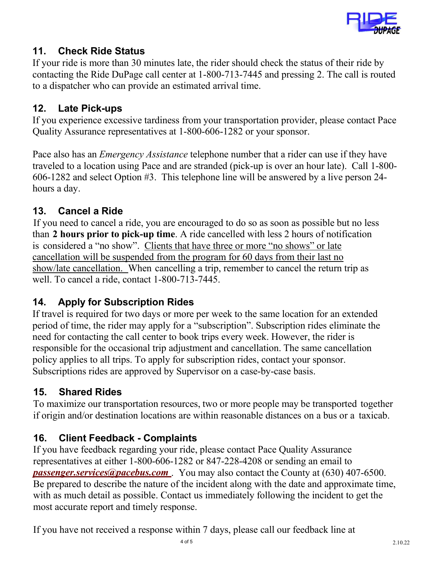

# **11. Check Ride Status**

If your ride is more than 30 minutes late, the rider should check the status of their ride by contacting the Ride DuPage call center at 1-800-713-7445 and pressing 2. The call is routed to a dispatcher who can provide an estimated arrival time.

## **12. Late Pick-ups**

If you experience excessive tardiness from your transportation provider, please contact Pace Quality Assurance representatives at 1-800-606-1282 or your sponsor.

Pace also has an *Emergency Assistance* telephone number that a rider can use if they have traveled to a location using Pace and are stranded (pick-up is over an hour late). Call 1-800- 606-1282 and select Option #3. This telephone line will be answered by a live person 24 hours a day.

## **13. Cancel a Ride**

 If you need to cancel a ride, you are encouraged to do so as soon as possible but no less than **2 hours prior to pick-up time**. A ride cancelled with less 2 hours of notification is considered a "no show". Clients that have three or more "no shows" or late cancellation will be suspended from the program for 60 days from their last no show/late cancellation. When cancelling a trip, remember to cancel the return trip as well. To cancel a ride, contact 1-800-713-7445.

#### **14. Apply for Subscription Rides**

If travel is required for two days or more per week to the same location for an extended period of time, the rider may apply for a "subscription". Subscription rides eliminate the need for contacting the call center to book trips every week. However, the rider is responsible for the occasional trip adjustment and cancellation. The same cancellation policy applies to all trips. To apply for subscription rides, contact your sponsor. Subscriptions rides are approved by Supervisor on a case-by-case basis.

# **15. Shared Rides**

To maximize our transportation resources, two or more people may be transported together if origin and/or destination locations are within reasonable distances on a bus or a taxicab.

#### **16. Client Feedback - Complaints**

If you have feedback regarding your ride, please contact Pace Quality Assurance representatives at either 1-800-606-1282 or 847-228-4208 or sending an email to *[passenger.services@pacebus.com](mailto:passenger.services@pacebus.com)*. You may also contact the County at (630) 407-6500. Be prepared to describe the nature of the incident along with the date and approximate time, with as much detail as possible. Contact us immediately following the incident to get the most accurate report and timely response.

If you have not received a response within 7 days, please call our feedback line at